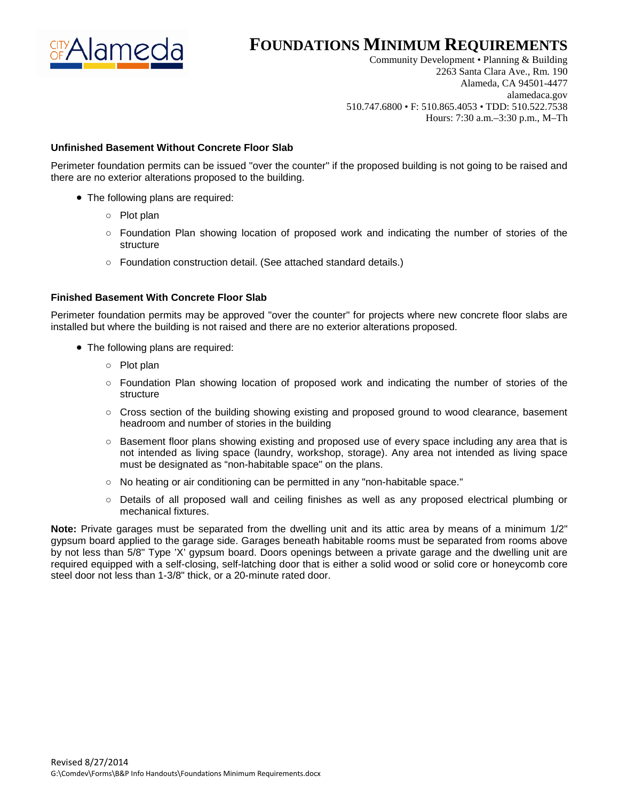

## **FOUNDATIONS MINIMUM REQUIREMENTS**

Community Development • Planning & Building 2263 Santa Clara Ave., Rm. 190 Alameda, CA 94501-4477 alamedaca.gov 510.747.6800 • F: 510.865.4053 • TDD: 510.522.7538 Hours: 7:30 a.m.–3:30 p.m., M–Th

## **Unfinished Basement Without Concrete Floor Slab**

Perimeter foundation permits can be issued "over the counter" if the proposed building is not going to be raised and there are no exterior alterations proposed to the building.

- The following plans are required:
	- Plot plan
	- Foundation Plan showing location of proposed work and indicating the number of stories of the structure
	- Foundation construction detail. (See attached standard details.)

## **Finished Basement With Concrete Floor Slab**

Perimeter foundation permits may be approved "over the counter" for projects where new concrete floor slabs are installed but where the building is not raised and there are no exterior alterations proposed.

- The following plans are required:
	- Plot plan
	- Foundation Plan showing location of proposed work and indicating the number of stories of the structure
	- Cross section of the building showing existing and proposed ground to wood clearance, basement headroom and number of stories in the building
	- Basement floor plans showing existing and proposed use of every space including any area that is not intended as living space (laundry, workshop, storage). Any area not intended as living space must be designated as "non-habitable space" on the plans.
	- No heating or air conditioning can be permitted in any "non-habitable space."
	- Details of all proposed wall and ceiling finishes as well as any proposed electrical plumbing or mechanical fixtures.

**Note:** Private garages must be separated from the dwelling unit and its attic area by means of a minimum 1/2" gypsum board applied to the garage side. Garages beneath habitable rooms must be separated from rooms above by not less than 5/8" Type 'X' gypsum board. Doors openings between a private garage and the dwelling unit are required equipped with a self-closing, self-latching door that is either a solid wood or solid core or honeycomb core steel door not less than 1-3/8" thick, or a 20-minute rated door.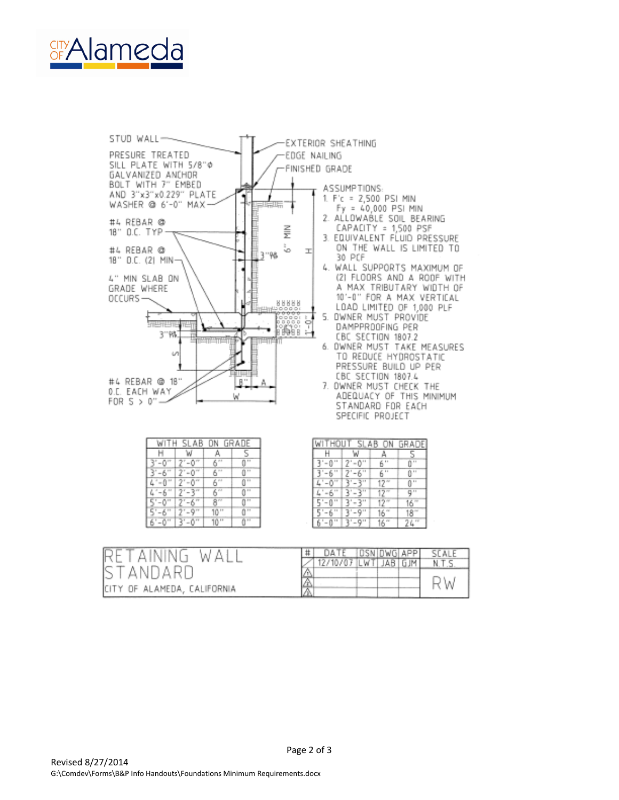



| WITH SLAB ON GRADE |                      |       |                 |  |  |  |  |
|--------------------|----------------------|-------|-----------------|--|--|--|--|
|                    |                      |       |                 |  |  |  |  |
| s"–0"              |                      | 611   | $\cdots$        |  |  |  |  |
|                    |                      | 511   | 0.11            |  |  |  |  |
|                    | 7'-0                 | 611   | $0 -$           |  |  |  |  |
|                    |                      | 611   | $0 -$           |  |  |  |  |
| -75                | $T - 6$ <sup>"</sup> | 8‴    | $0$             |  |  |  |  |
| 5'-6"              | $7 - 9"$             | 10"   | 0 <sup>11</sup> |  |  |  |  |
| б'-0"              | 3'-0"                | 10 '' | $q^{th}$        |  |  |  |  |

| WITHOUT | SL. | AB     | DF              |
|---------|-----|--------|-----------------|
|         |     |        |                 |
|         | .,  | .,     |                 |
| н       | 11  | 44     |                 |
| Ħ       | ::  |        | 0 <sup>11</sup> |
|         |     |        | 79.99           |
| .,      |     |        | ٨               |
| н       |     |        |                 |
| .,      | .,  | u<br>6 |                 |

| WA.<br>RETAINING             |   |              | OSN OWG APP |         | SCALE |
|------------------------------|---|--------------|-------------|---------|-------|
|                              |   | 12/10/07 LWT |             | JAB GJM | N.T.S |
| ISTANDARD                    |   |              |             |         |       |
|                              | A |              |             |         | W     |
| ICITY OF ALAMEDA, CALIFORNIA |   |              |             |         |       |